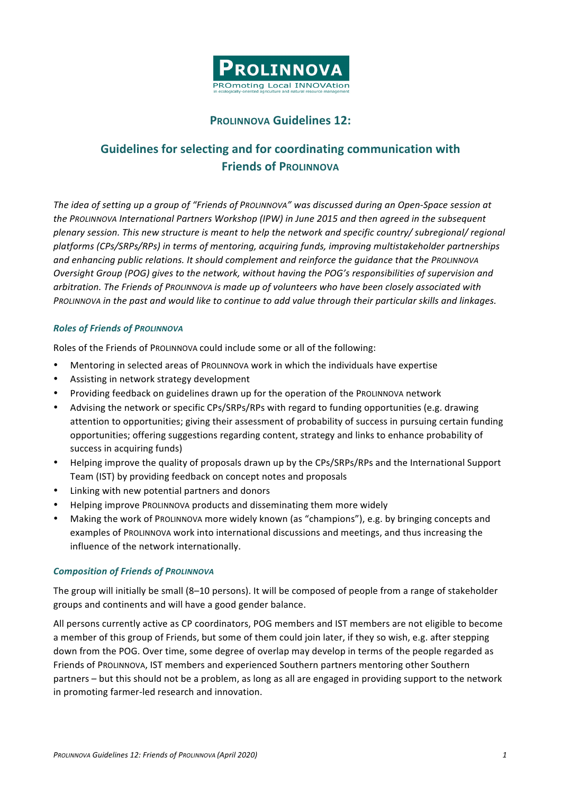

# **PROLINNOVA Guidelines 12:**

# **Guidelines for selecting and for coordinating communication with Friends of PROLINNOVA**

The idea of setting up a group of "Friends of ProLINNOVA" was discussed during an Open-Space session at *the PROLINNOVA International Partners Workshop (IPW) in June 2015 and then agreed in the subsequent plenary session.* This new structure is meant to help the network and specific country/ subregional/ regional *platforms (CPs/SRPs/RPs) in terms of mentoring, acquiring funds, improving multistakeholder partnerships*  and enhancing public relations. It should complement and reinforce the quidance that the PROLINNOVA *Oversight Group (POG) gives to the network, without having the POG's responsibilities of supervision and* arbitration. The Friends of ProLINNOVA is made up of volunteers who have been closely associated with *PROLINNOVA* in the past and would like to continue to add value through their particular skills and linkages.

## *Roles of Friends of PROLINNOVA*

Roles of the Friends of ProLINNOVA could include some or all of the following:

- Mentoring in selected areas of ProLINNOVA work in which the individuals have expertise
- Assisting in network strategy development
- Providing feedback on guidelines drawn up for the operation of the PROLINNOVA network
- Advising the network or specific CPs/SRPs/RPs with regard to funding opportunities (e.g. drawing attention to opportunities; giving their assessment of probability of success in pursuing certain funding opportunities; offering suggestions regarding content, strategy and links to enhance probability of success in acquiring funds)
- Helping improve the quality of proposals drawn up by the CPs/SRPs/RPs and the International Support Team (IST) by providing feedback on concept notes and proposals
- Linking with new potential partners and donors
- Helping improve PROLINNOVA products and disseminating them more widely
- Making the work of PROLINNOVA more widely known (as "champions"), e.g. by bringing concepts and examples of PROLINNOVA work into international discussions and meetings, and thus increasing the influence of the network internationally.

#### **Composition of Friends of PROLINNOVA**

The group will initially be small (8–10 persons). It will be composed of people from a range of stakeholder groups and continents and will have a good gender balance.

All persons currently active as CP coordinators, POG members and IST members are not eligible to become a member of this group of Friends, but some of them could join later, if they so wish, e.g. after stepping down from the POG. Over time, some degree of overlap may develop in terms of the people regarded as Friends of ProLINNOVA, IST members and experienced Southern partners mentoring other Southern partners – but this should not be a problem, as long as all are engaged in providing support to the network in promoting farmer-led research and innovation.